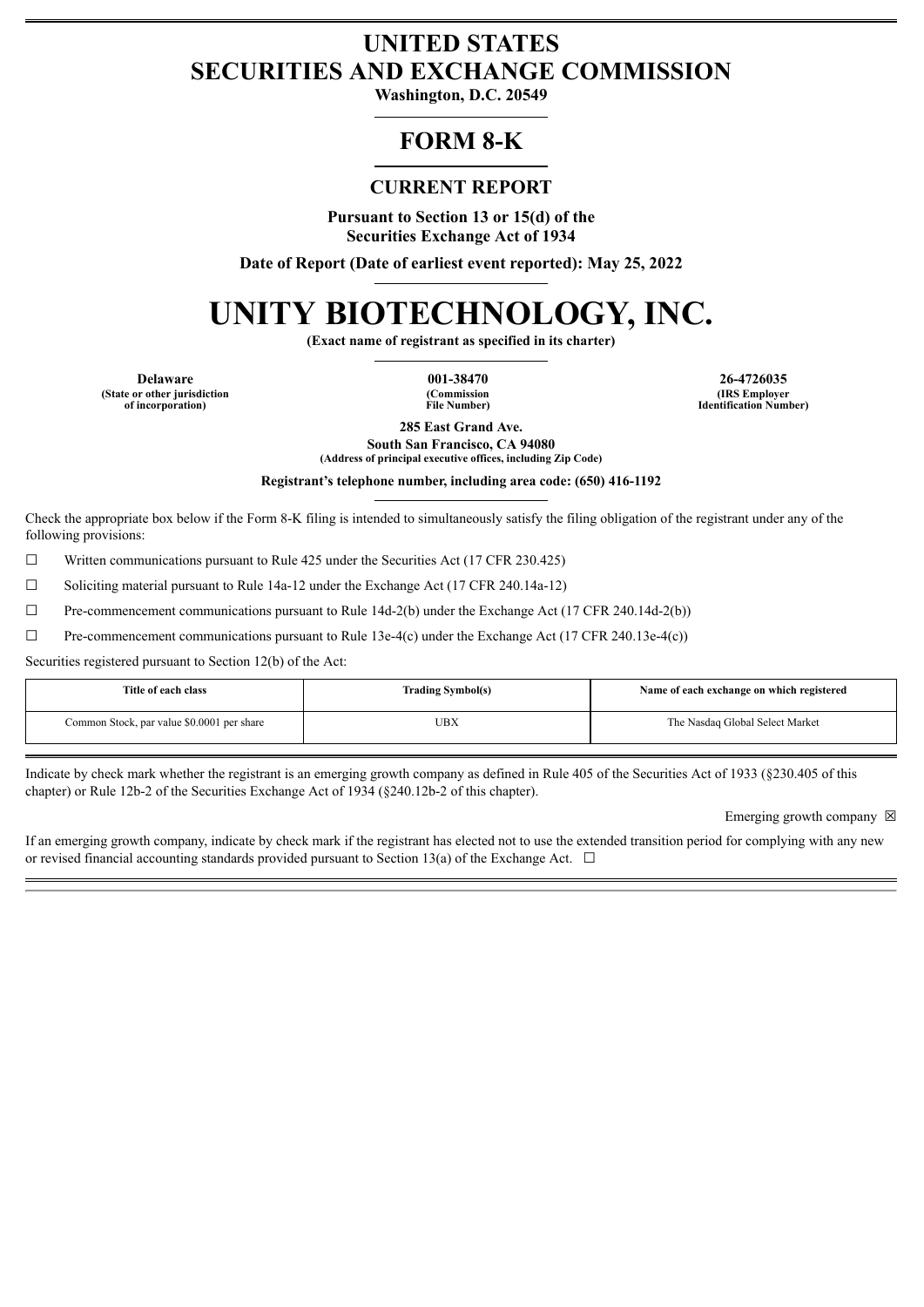# **UNITED STATES SECURITIES AND EXCHANGE COMMISSION**

**Washington, D.C. 20549**

# **FORM 8-K**

## **CURRENT REPORT**

**Pursuant to Section 13 or 15(d) of the Securities Exchange Act of 1934**

**Date of Report (Date of earliest event reported): May 25, 2022**

# **UNITY BIOTECHNOLOGY, INC.**

**(Exact name of registrant as specified in its charter)**

**(State or other jurisdiction of incorporation)**

**(Commission File Number)**

**Delaware 001-38470 26-4726035 (IRS Employer Identification Number)**

> **285 East Grand Ave. South San Francisco, CA 94080**

**(Address of principal executive offices, including Zip Code)**

**Registrant's telephone number, including area code: (650) 416-1192**

Check the appropriate box below if the Form 8-K filing is intended to simultaneously satisfy the filing obligation of the registrant under any of the following provisions:

 $\Box$  Written communications pursuant to Rule 425 under the Securities Act (17 CFR 230.425)

☐ Soliciting material pursuant to Rule 14a-12 under the Exchange Act (17 CFR 240.14a-12)

 $\Box$  Pre-commencement communications pursuant to Rule 14d-2(b) under the Exchange Act (17 CFR 240.14d-2(b))

 $\Box$  Pre-commencement communications pursuant to Rule 13e-4(c) under the Exchange Act (17 CFR 240.13e-4(c))

Securities registered pursuant to Section 12(b) of the Act:

| Title of each class                        | <b>Trading Symbol(s)</b> | Name of each exchange on which registered |
|--------------------------------------------|--------------------------|-------------------------------------------|
| Common Stock, par value \$0.0001 per share | UBX                      | The Nasdaq Global Select Market           |

Indicate by check mark whether the registrant is an emerging growth company as defined in Rule 405 of the Securities Act of 1933 (§230.405 of this chapter) or Rule 12b-2 of the Securities Exchange Act of 1934 (§240.12b-2 of this chapter).

Emerging growth company  $\boxtimes$ 

If an emerging growth company, indicate by check mark if the registrant has elected not to use the extended transition period for complying with any new or revised financial accounting standards provided pursuant to Section 13(a) of the Exchange Act.  $\Box$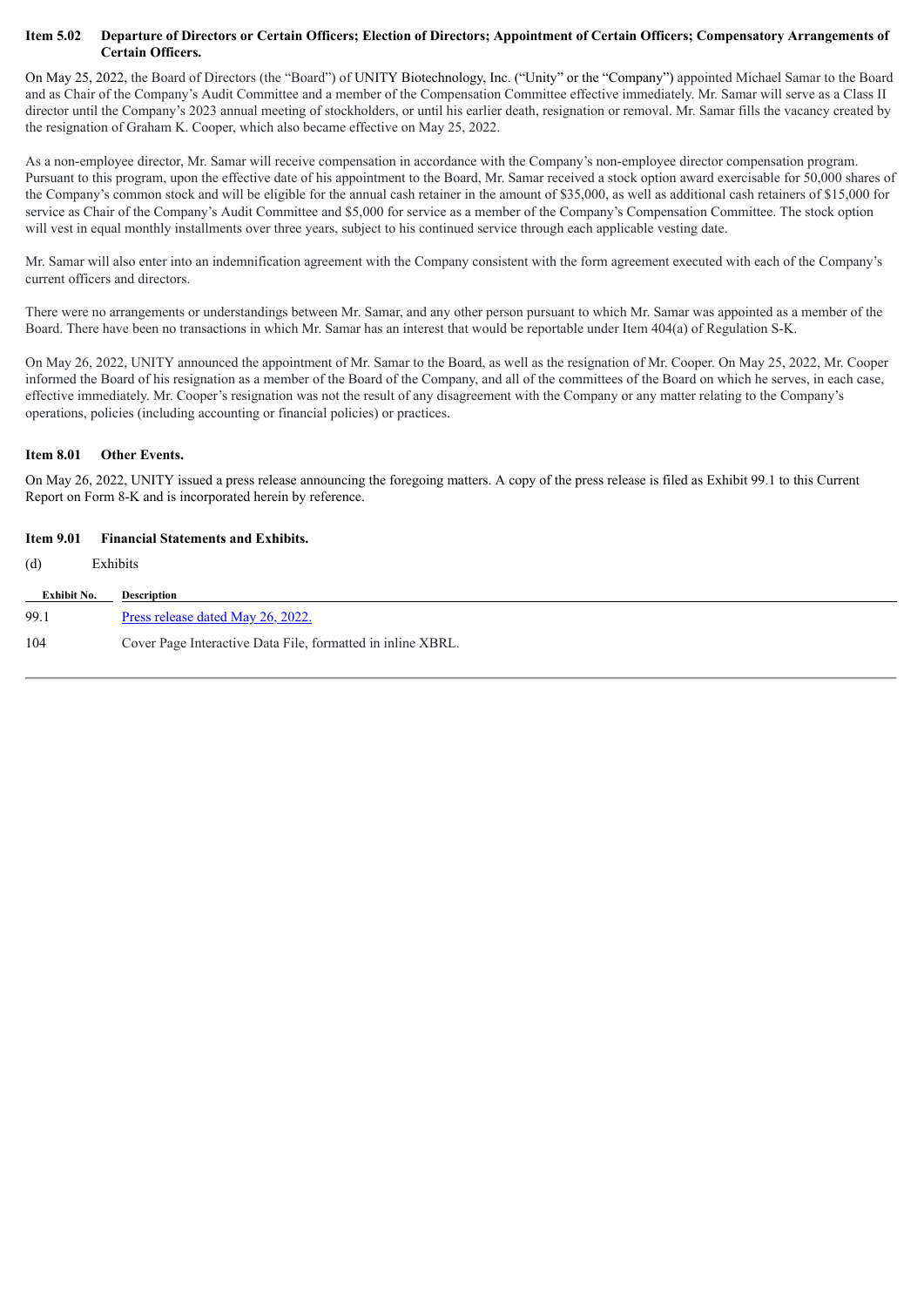#### Item 5.02 Departure of Directors or Certain Officers; Election of Directors; Appointment of Certain Officers; Compensatory Arrangements of **Certain Officers.**

On May 25, 2022, the Board of Directors (the "Board") of UNITY Biotechnology, Inc. ("Unity" or the "Company") appointed Michael Samar to the Board and as Chair of the Company's Audit Committee and a member of the Compensation Committee effective immediately. Mr. Samar will serve as a Class II director until the Company's 2023 annual meeting of stockholders, or until his earlier death, resignation or removal. Mr. Samar fills the vacancy created by the resignation of Graham K. Cooper, which also became effective on May 25, 2022.

As a non-employee director, Mr. Samar will receive compensation in accordance with the Company's non-employee director compensation program. Pursuant to this program, upon the effective date of his appointment to the Board, Mr. Samar received a stock option award exercisable for 50,000 shares of the Company's common stock and will be eligible for the annual cash retainer in the amount of \$35,000, as well as additional cash retainers of \$15,000 for service as Chair of the Company's Audit Committee and \$5,000 for service as a member of the Company's Compensation Committee. The stock option will vest in equal monthly installments over three years, subject to his continued service through each applicable vesting date.

Mr. Samar will also enter into an indemnification agreement with the Company consistent with the form agreement executed with each of the Company's current officers and directors.

There were no arrangements or understandings between Mr. Samar, and any other person pursuant to which Mr. Samar was appointed as a member of the Board. There have been no transactions in which Mr. Samar has an interest that would be reportable under Item 404(a) of Regulation S-K.

On May 26, 2022, UNITY announced the appointment of Mr. Samar to the Board, as well as the resignation of Mr. Cooper. On May 25, 2022, Mr. Cooper informed the Board of his resignation as a member of the Board of the Company, and all of the committees of the Board on which he serves, in each case, effective immediately. Mr. Cooper's resignation was not the result of any disagreement with the Company or any matter relating to the Company's operations, policies (including accounting or financial policies) or practices.

#### **Item 8.01 Other Events.**

On May 26, 2022, UNITY issued a press release announcing the foregoing matters. A copy of the press release is filed as Exhibit 99.1 to this Current Report on Form 8-K and is incorporated herein by reference.

#### **Item 9.01 Financial Statements and Exhibits.**

(d) Exhibits

| Exhibit No. | Description                                                 |
|-------------|-------------------------------------------------------------|
| 99.1        | Press release dated May 26, 2022.                           |
| 104         | Cover Page Interactive Data File, formatted in inline XBRL. |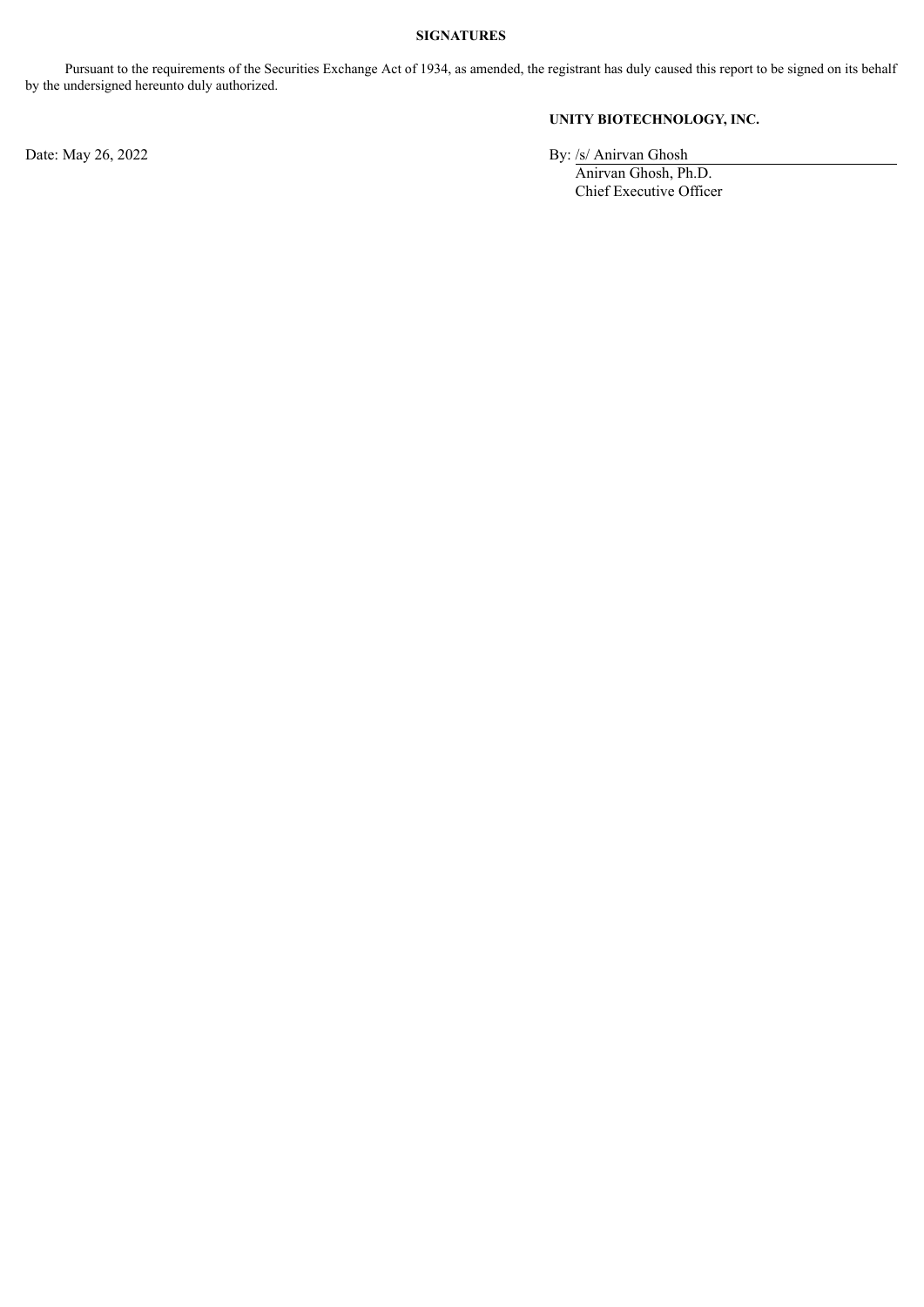#### **SIGNATURES**

Pursuant to the requirements of the Securities Exchange Act of 1934, as amended, the registrant has duly caused this report to be signed on its behalf by the undersigned hereunto duly authorized.

## **UNITY BIOTECHNOLOGY, INC.**

Date: May 26, 2022 By: /s/ Anirvan Ghosh

Anirvan Ghosh, Ph.D. Chief Executive Officer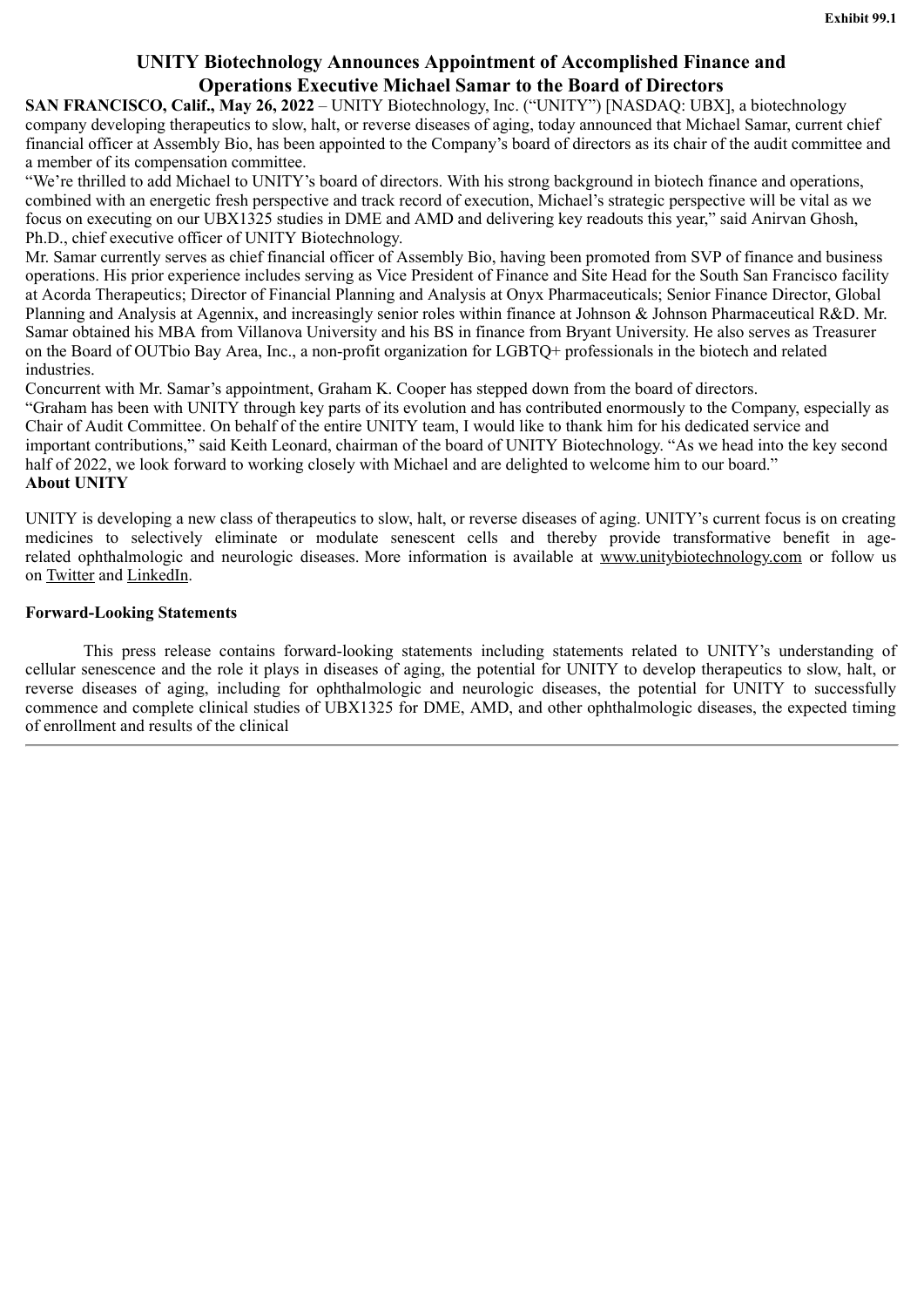# **UNITY Biotechnology Announces Appointment of Accomplished Finance and Operations Executive Michael Samar to the Board of Directors**

<span id="page-3-0"></span>**SAN FRANCISCO, Calif., May 26, 2022** – UNITY Biotechnology, Inc. ("UNITY") [NASDAQ: UBX], a biotechnology company developing therapeutics to slow, halt, or reverse diseases of aging, today announced that Michael Samar, current chief financial officer at Assembly Bio, has been appointed to the Company's board of directors as its chair of the audit committee and a member of its compensation committee.

"We're thrilled to add Michael to UNITY's board of directors. With his strong background in biotech finance and operations, combined with an energetic fresh perspective and track record of execution, Michael's strategic perspective will be vital as we focus on executing on our UBX1325 studies in DME and AMD and delivering key readouts this year," said Anirvan Ghosh, Ph.D., chief executive officer of UNITY Biotechnology.

Mr. Samar currently serves as chief financial officer of Assembly Bio, having been promoted from SVP of finance and business operations. His prior experience includes serving as Vice President of Finance and Site Head for the South San Francisco facility at Acorda Therapeutics; Director of Financial Planning and Analysis at Onyx Pharmaceuticals; Senior Finance Director, Global Planning and Analysis at Agennix, and increasingly senior roles within finance at Johnson & Johnson Pharmaceutical R&D. Mr. Samar obtained his MBA from Villanova University and his BS in finance from Bryant University. He also serves as Treasurer on the Board of OUTbio Bay Area, Inc., a non-profit organization for LGBTQ+ professionals in the biotech and related industries.

Concurrent with Mr. Samar's appointment, Graham K. Cooper has stepped down from the board of directors.

"Graham has been with UNITY through key parts of its evolution and has contributed enormously to the Company, especially as Chair of Audit Committee. On behalf of the entire UNITY team, I would like to thank him for his dedicated service and important contributions," said Keith Leonard, chairman of the board of UNITY Biotechnology. "As we head into the key second half of 2022, we look forward to working closely with Michael and are delighted to welcome him to our board." **About UNITY**

UNITY is developing a new class of therapeutics to slow, halt, or reverse diseases of aging. UNITY's current focus is on creating medicines to selectively eliminate or modulate senescent cells and thereby provide transformative benefit in agerelated ophthalmologic and neurologic diseases. More information is available at www.unitybiotechnology.com or follow us on Twitter and LinkedIn.

## **Forward-Looking Statements**

This press release contains forward-looking statements including statements related to UNITY's understanding of cellular senescence and the role it plays in diseases of aging, the potential for UNITY to develop therapeutics to slow, halt, or reverse diseases of aging, including for ophthalmologic and neurologic diseases, the potential for UNITY to successfully commence and complete clinical studies of UBX1325 for DME, AMD, and other ophthalmologic diseases, the expected timing of enrollment and results of the clinical